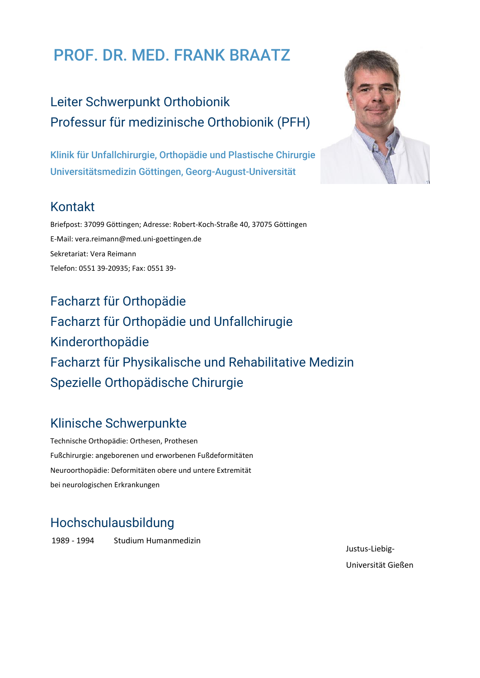# PROF. DR. MED. FRANK BRAATZ

Leiter Schwerpunkt Orthobionik Professur für medizinische Orthobionik (PFH)

Klinik für Unfallchirurgie, Orthopädie und Plastische Chirurgie Universitätsmedizin Göttingen, Georg-August-Universität

#### Kontakt

Briefpost: 37099 Göttingen; Adresse: Robert-Koch-Straße 40, 37075 Göttingen E-Mail: vera.reimann@med.uni-goettingen.de Sekretariat: Vera Reimann Telefon: 0551 39-20935; Fax: 0551 39-

Facharzt für Orthopädie Facharzt für Orthopädie und Unfallchirugie Kinderorthopädie Facharzt für Physikalische und Rehabilitative Medizin Spezielle Orthopädische Chirurgie

#### Klinische Schwerpunkte

Technische Orthopädie: Orthesen, Prothesen Fußchirurgie: angeborenen und erworbenen Fußdeformitäten Neuroorthopädie: Deformitäten obere und untere Extremität bei neurologischen Erkrankungen

# Hochschulausbildung

1989 - 1994 Studium Humanmedizin



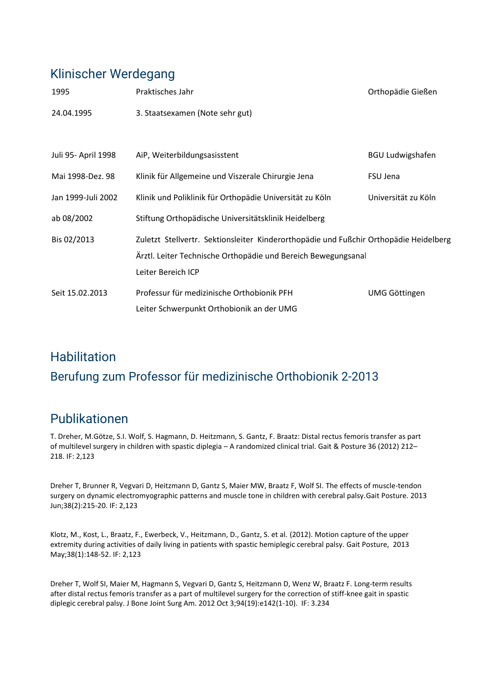#### Klinischer Werdegang

| 1995                | Praktisches Jahr                                                                                                                                       | Orthopädie Gießen       |
|---------------------|--------------------------------------------------------------------------------------------------------------------------------------------------------|-------------------------|
| 24.04.1995          | 3. Staatsexamen (Note sehr gut)                                                                                                                        |                         |
|                     |                                                                                                                                                        |                         |
| Juli 95- April 1998 | AiP, Weiterbildungsasisstent                                                                                                                           | <b>BGU Ludwigshafen</b> |
| Mai 1998-Dez. 98    | Klinik für Allgemeine und Viszerale Chirurgie Jena                                                                                                     | FSU Jena                |
| Jan 1999-Juli 2002  | Klinik und Poliklinik für Orthopädie Universität zu Köln                                                                                               | Universität zu Köln     |
| ab 08/2002          | Stiftung Orthopädische Universitätsklinik Heidelberg                                                                                                   |                         |
| Bis 02/2013         | Zuletzt Stellvertr. Sektionsleiter Kinderorthopädie und Fußchir Orthopädie Heidelberg<br>Ärztl. Leiter Technische Orthopädie und Bereich Bewegungsanal |                         |
|                     | Leiter Bereich ICP                                                                                                                                     |                         |
| Seit 15.02.2013     | Professur für medizinische Orthobionik PFH                                                                                                             | <b>UMG Göttingen</b>    |
|                     | Leiter Schwerpunkt Orthobionik an der UMG                                                                                                              |                         |

# **Habilitation** Berufung zum Professor für medizinische Orthobionik 2-2013

# Publikationen

T. Dreher, M.Götze, S.I. Wolf, S. Hagmann, D. Heitzmann, S. Gantz, F. Braatz: Distal rectus femoris transfer as part of multilevel surgery in children with spastic diplegia – A randomized clinical trial. Gait & Posture 36 (2012) 212– 218. IF: 2,123

Dreher T, Brunner R, Vegvari D, Heitzmann D, Gantz S, Maier MW, Braatz F, Wolf SI. [The effects of muscle-tendon](http://www.ncbi.nlm.nih.gov/pubmed/23228624)  [surgery on dynamic electromyographic patterns and muscle tone in children with cerebral palsy.G](http://www.ncbi.nlm.nih.gov/pubmed/23228624)ait Posture. 2013 Jun;38(2):215-20. IF: 2,123

Klotz, M., Kost, L., Braatz, F., Ewerbeck, V., Heitzmann, D., Gantz, S. et al. (2012). Motion capture of the upper extremity during activities of daily living in patients with spastic hemiplegic cerebral palsy. Gait Posture, 2013 May;38(1):148-52. IF: 2,123

Dreher T, Wolf SI, Maier M, Hagmann S, Vegvari D, Gantz S, Heitzmann D, Wenz W, Braatz F. [Long-term results](http://www.ncbi.nlm.nih.gov/pubmed/23032593)  [after distal rectus femoris transfer as a part of multilevel surgery for the correction of stiff-knee gait in spastic](http://www.ncbi.nlm.nih.gov/pubmed/23032593)  [diplegic cerebral palsy.](http://www.ncbi.nlm.nih.gov/pubmed/23032593) J Bone Joint Surg Am. 2012 Oct 3;94(19):e142(1-10). IF: 3.234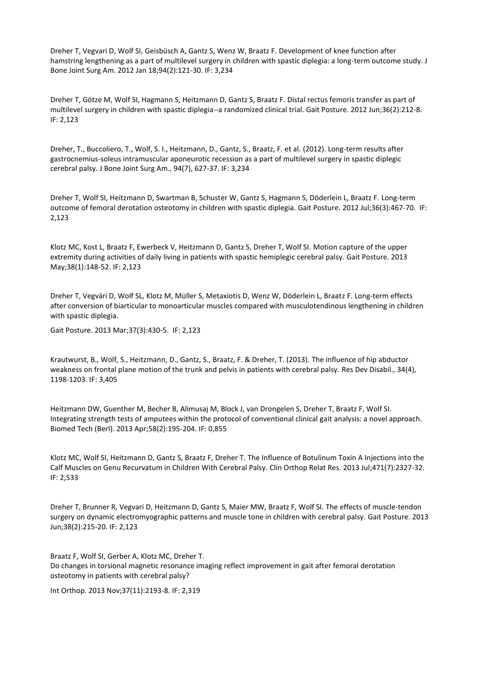Dreher T, Vegvari D, Wolf SI, Geisbüsch A, Gantz S, Wenz W, Braatz F[. Development of knee function after](http://www.ncbi.nlm.nih.gov/pubmed/22257998)  [hamstring lengthening as a part of multilevel surgery in children with spastic diplegia: a long-term outcome study.](http://www.ncbi.nlm.nih.gov/pubmed/22257998) J Bone Joint Surg Am. 2012 Jan 18;94(2):121-30. IF: 3,234

Dreher T, Götze M, Wolf SI, Hagmann S, Heitzmann D, Gantz S, Braatz F. [Distal rectus femoris transfer as part of](http://www.ncbi.nlm.nih.gov/pubmed/22425637)  [multilevel surgery in children with spastic diplegia--a randomized clinical trial.](http://www.ncbi.nlm.nih.gov/pubmed/22425637) Gait Posture. 2012 Jun;36(2):212-8. IF: 2,123

Dreher, T., Buccoliero, T., Wolf, S. I., Heitzmann, D., Gantz, S., Braatz, F. et al. (2012). Long-term results after gastrocnemius-soleus intramuscular aponeurotic recession as a part of multilevel surgery in spastic diplegic cerebral palsy. J Bone Joint Surg Am., 94(7), 627-37. IF: 3,234

Dreher T, Wolf SI, Heitzmann D, Swartman B, Schuster W, Gantz S, Hagmann S, Döderlein L, Braatz F. [Long-term](http://www.ncbi.nlm.nih.gov/pubmed/22766044)  [outcome of femoral derotation osteotomy in children with spastic diplegia.](http://www.ncbi.nlm.nih.gov/pubmed/22766044) Gait Posture. 2012 Jul;36(3):467-70. IF: 2,123

Klotz MC, Kost L, Braatz F, Ewerbeck V, Heitzmann D, Gantz S, Dreher T, Wolf SI. [Motion capture of the upper](http://www.ncbi.nlm.nih.gov/pubmed/23218727)  [extremity during activities of daily living in patients with spastic hemiplegic cerebral palsy.](http://www.ncbi.nlm.nih.gov/pubmed/23218727) Gait Posture. 2013 May;38(1):148-52. IF: 2,123

Dreher T, Vegvári D, Wolf SL, Klotz M, Müller S, Metaxiotis D, Wenz W, Döderlein L, Braatz F[. Long-term effects](http://www.ncbi.nlm.nih.gov/pubmed/23018029)  [after conversion of biarticular to monoarticular muscles compared with musculotendinous lengthening in children](http://www.ncbi.nlm.nih.gov/pubmed/23018029)  [with spastic diplegia.](http://www.ncbi.nlm.nih.gov/pubmed/23018029)

Gait Posture. 2013 Mar;37(3):430-5. IF: 2,123

Krautwurst, B., Wolf, S., Heitzmann, D., Gantz, S., Braatz, F. & Dreher, T. (2013). The influence of hip abductor weakness on frontal plane motion of the trunk and pelvis in patients with cerebral palsy. Res Dev Disabil., 34(4), 1198-1203. IF: 3,405

Heitzmann DW, Guenther M, Becher B, Alimusaj M, Block J, van Drongelen S, Dreher T, Braatz F, Wolf SI. [Integrating strength tests of amputees within the protocol of conventional clinical gait analysis: a novel approach.](http://www.ncbi.nlm.nih.gov/pubmed/23454713) Biomed Tech (Berl). 2013 Apr;58(2):195-204. IF: 0,855

Klotz MC, Wolf SI, Heitzmann D, Gantz S, Braatz F, Dreher T. [The Influence of Botulinum Toxin A Injections into the](http://www.ncbi.nlm.nih.gov/pubmed/23463290)  [Calf Muscles on Genu Recurvatum in Children With Cerebral Palsy.](http://www.ncbi.nlm.nih.gov/pubmed/23463290) Clin Orthop Relat Res. 2013 Jul;471(7):2327-32. IF: 2,533

Dreher T, Brunner R, Vegvari D, Heitzmann D, Gantz S, Maier MW, Braatz F, Wolf SI. [The effects of muscle-tendon](http://www.ncbi.nlm.nih.gov/pubmed/23228624)  [surgery on dynamic electromyographic patterns and muscle tone in children with cerebral palsy.](http://www.ncbi.nlm.nih.gov/pubmed/23228624) Gait Posture. 2013 Jun;38(2):215-20. IF: 2,123

Braatz F, Wolf SI, Gerber A, Klotz MC, Dreher T. [Do changes in torsional magnetic resonance imaging reflect improvement in gait after femoral derotation](http://www.ncbi.nlm.nih.gov/pubmed/23955818)  [osteotomy in patients with cerebral palsy?](http://www.ncbi.nlm.nih.gov/pubmed/23955818)

Int Orthop. 2013 Nov;37(11):2193-8. IF: 2,319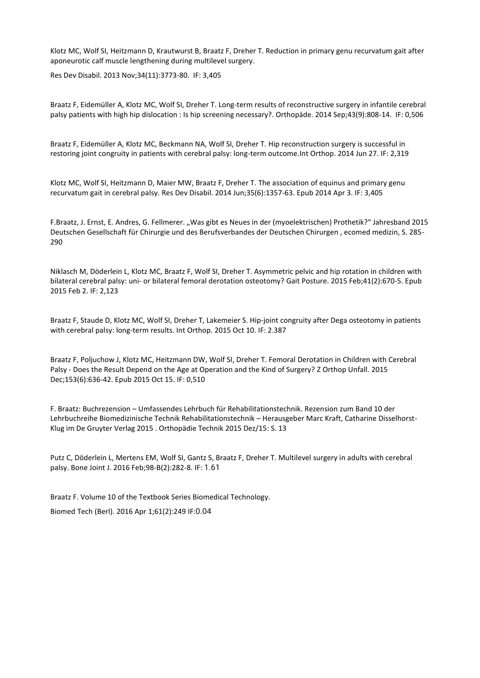Klotz MC, Wolf SI, Heitzmann D, Krautwurst B, Braatz F, Dreher T[. Reduction in primary genu recurvatum gait after](http://www.ncbi.nlm.nih.gov/pubmed/24029800)  [aponeurotic calf muscle lengthening during multilevel surgery.](http://www.ncbi.nlm.nih.gov/pubmed/24029800)

Res Dev Disabil. 2013 Nov;34(11):3773-80. IF: 3,405

Braatz F, Eidemüller A, Klotz MC, Wolf SI, Dreher T. [Long-term results of reconstructive surgery in infantile cerebral](http://www.ncbi.nlm.nih.gov/pubmed/24816981)  [palsy patients with high hip dislocation : Is hip screening necessary?.](http://www.ncbi.nlm.nih.gov/pubmed/24816981) Orthopäde. 2014 Sep;43(9):808-14. IF: 0,506

Braatz F, Eidemüller A, Klotz MC, Beckmann NA, Wolf SI, Dreher T. [Hip reconstruction surgery is successful in](http://www.ncbi.nlm.nih.gov/pubmed/24968787)  [restoring joint congruity in patients with cerebral palsy: long-term outcome.In](http://www.ncbi.nlm.nih.gov/pubmed/24968787)t Orthop. 2014 Jun 27. IF: 2,319

Klotz MC, Wolf SI, Heitzmann D, Maier MW, Braatz F, Dreher T. [The association of equinus and primary genu](http://www.ncbi.nlm.nih.gov/pubmed/24705489)  [recurvatum gait in cerebral palsy.](http://www.ncbi.nlm.nih.gov/pubmed/24705489) Res Dev Disabil. 2014 Jun;35(6):1357-63. Epub 2014 Apr 3. IF: 3,405

F.Braatz, J. Ernst, E. Andres, G. Fellmerer. "Was gibt es Neues in der (myoelektrischen) Prothetik?" Jahresband 2015 Deutschen Gesellschaft für Chirurgie und des Berufsverbandes der Deutschen Chirurgen , ecomed medizin, S. 285- 290

[Niklasch M,](http://www.ncbi.nlm.nih.gov/pubmed/?term=Niklasch%20M%5BAuthor%5D&cauthor=true&cauthor_uid=25698350) [Döderlein L,](http://www.ncbi.nlm.nih.gov/pubmed/?term=D%C3%B6derlein%20L%5BAuthor%5D&cauthor=true&cauthor_uid=25698350) [Klotz MC,](http://www.ncbi.nlm.nih.gov/pubmed/?term=Klotz%20MC%5BAuthor%5D&cauthor=true&cauthor_uid=25698350) [Braatz F,](http://www.ncbi.nlm.nih.gov/pubmed/?term=Braatz%20F%5BAuthor%5D&cauthor=true&cauthor_uid=25698350) [Wolf SI,](http://www.ncbi.nlm.nih.gov/pubmed/?term=Wolf%20SI%5BAuthor%5D&cauthor=true&cauthor_uid=25698350) [Dreher T.](http://www.ncbi.nlm.nih.gov/pubmed/?term=Dreher%20T%5BAuthor%5D&cauthor=true&cauthor_uid=25698350) Asymmetric pelvic and hip rotation in children with bilateral cerebral palsy: uni- or bilateral femoral derotation osteotomy? [Gait Posture.](http://www.ncbi.nlm.nih.gov/pubmed/25698350) 2015 Feb;41(2):670-5. Epub 2015 Feb 2. IF: 2,123

[Braatz F,](http://www.ncbi.nlm.nih.gov/pubmed/?term=Braatz%20F%5BAuthor%5D&cauthor=true&cauthor_uid=26454662) [Staude D,](http://www.ncbi.nlm.nih.gov/pubmed/?term=Staude%20D%5BAuthor%5D&cauthor=true&cauthor_uid=26454662) [Klotz MC,](http://www.ncbi.nlm.nih.gov/pubmed/?term=Klotz%20MC%5BAuthor%5D&cauthor=true&cauthor_uid=26454662) [Wolf SI,](http://www.ncbi.nlm.nih.gov/pubmed/?term=Wolf%20SI%5BAuthor%5D&cauthor=true&cauthor_uid=26454662) [Dreher T,](http://www.ncbi.nlm.nih.gov/pubmed/?term=Dreher%20T%5BAuthor%5D&cauthor=true&cauthor_uid=26454662) [Lakemeier S.](http://www.ncbi.nlm.nih.gov/pubmed/?term=Lakemeier%20S%5BAuthor%5D&cauthor=true&cauthor_uid=26454662) Hip-joint congruity after Dega osteotomy in patients with cerebral palsy: long-term results[. Int Orthop.](http://www.ncbi.nlm.nih.gov/pubmed/26454662) 2015 Oct 10. IF: 2.387

[Braatz F,](http://www.ncbi.nlm.nih.gov/pubmed/?term=Braatz%20F%5BAuthor%5D&cauthor=true&cauthor_uid=26468922) [Poljuchow J,](http://www.ncbi.nlm.nih.gov/pubmed/?term=Poljuchow%20J%5BAuthor%5D&cauthor=true&cauthor_uid=26468922) [Klotz MC,](http://www.ncbi.nlm.nih.gov/pubmed/?term=Klotz%20MC%5BAuthor%5D&cauthor=true&cauthor_uid=26468922) [Heitzmann DW,](http://www.ncbi.nlm.nih.gov/pubmed/?term=Heitzmann%20DW%5BAuthor%5D&cauthor=true&cauthor_uid=26468922) [Wolf SI,](http://www.ncbi.nlm.nih.gov/pubmed/?term=Wolf%20SI%5BAuthor%5D&cauthor=true&cauthor_uid=26468922) [Dreher T.](http://www.ncbi.nlm.nih.gov/pubmed/?term=Dreher%20T%5BAuthor%5D&cauthor=true&cauthor_uid=26468922) Femoral Derotation in Children with Cerebral Palsy - Does the Result Depend on the Age at Operation and the Kind of Surgery? [Z Orthop Unfall.](http://www.ncbi.nlm.nih.gov/pubmed/26468922) 2015 Dec;153(6):636-42. Epub 2015 Oct 15. IF: 0,510

F. Braatz: Buchrezension – Umfassendes Lehrbuch für Rehabilitationstechnik. Rezension zum Band 10 der Lehrbuchreihe Biomedizinische Technik Rehabilitationstechnik – Herausgeber Marc Kraft, Catharine Disselhorst-Klug im De Gruyter Verlag 2015 . Orthopädie Technik 2015 Dez/15: S. 13

[Putz C,](http://www.ncbi.nlm.nih.gov/pubmed/?term=Putz%20C%5BAuthor%5D&cauthor=true&cauthor_uid=26850437) [Döderlein L,](http://www.ncbi.nlm.nih.gov/pubmed/?term=D%C3%B6derlein%20L%5BAuthor%5D&cauthor=true&cauthor_uid=26850437) [Mertens EM,](http://www.ncbi.nlm.nih.gov/pubmed/?term=Mertens%20EM%5BAuthor%5D&cauthor=true&cauthor_uid=26850437) [Wolf SI,](http://www.ncbi.nlm.nih.gov/pubmed/?term=Wolf%20SI%5BAuthor%5D&cauthor=true&cauthor_uid=26850437) [Gantz S,](http://www.ncbi.nlm.nih.gov/pubmed/?term=Gantz%20S%5BAuthor%5D&cauthor=true&cauthor_uid=26850437) [Braatz F,](http://www.ncbi.nlm.nih.gov/pubmed/?term=Braatz%20F%5BAuthor%5D&cauthor=true&cauthor_uid=26850437) [Dreher T.](http://www.ncbi.nlm.nih.gov/pubmed/?term=Dreher%20T%5BAuthor%5D&cauthor=true&cauthor_uid=26850437) Multilevel surgery in adults with cerebral palsy. [Bone Joint J.](http://www.ncbi.nlm.nih.gov/pubmed/26850437) 2016 Feb;98-B(2):282-8. IF: 1.61

[Braatz F.](http://www.ncbi.nlm.nih.gov/pubmed/?term=Braatz%20F%5BAuthor%5D&cauthor=true&cauthor_uid=26913454) Volume 10 of the Textbook Series Biomedical Technology. [Biomed Tech \(Berl\).](http://www.ncbi.nlm.nih.gov/pubmed/26913454) 2016 Apr 1;61(2):249 IF:0.04